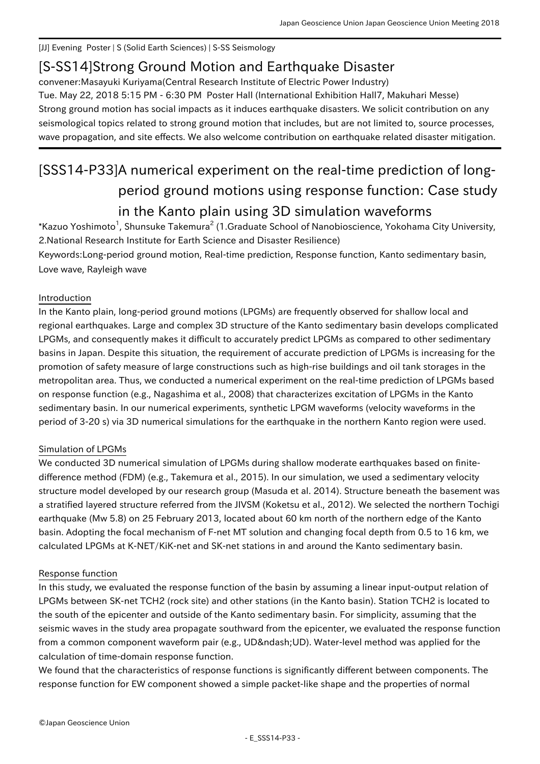[JJ] Evening Poster | S (Solid Earth Sciences) | S-SS Seismology

# [S-SS14] Strong Ground Motion and Earthquake Disaster

convener:Masayuki Kuriyama(Central Research Institute of Electric Power Industry) Tue. May 22, 2018 5:15 PM - 6:30 PM Poster Hall (International Exhibition Hall7, Makuhari Messe) Strong ground motion has social impacts as it induces earthquake disasters. We solicit contribution on any seismological topics related to strong ground motion that includes, but are not limited to, source processes, wave propagation, and site effects. We also welcome contribution on earthquake related disaster mitigation.

# [SSS14-P33] A numerical experiment on the real-time prediction of longperiod ground motions using response function: Case study in the Kanto plain using 3D simulation waveforms

\*Kazuo Yoshimoto $^1$ , Shunsuke Takemura $^2$  (1.Graduate School of Nanobioscience, Yokohama City University, 2.National Research Institute for Earth Science and Disaster Resilience) Keywords:Long-period ground motion, Real-time prediction, Response function, Kanto sedimentary basin, Love wave, Rayleigh wave

## Introduction

In the Kanto plain, long-period ground motions (LPGMs) are frequently observed for shallow local and regional earthquakes. Large and complex 3D structure of the Kanto sedimentary basin develops complicated LPGMs, and consequently makes it difficult to accurately predict LPGMs as compared to other sedimentary basins in Japan. Despite this situation, the requirement of accurate prediction of LPGMs is increasing for the promotion of safety measure of large constructions such as high-rise buildings and oil tank storages in the metropolitan area. Thus, we conducted a numerical experiment on the real-time prediction of LPGMs based on response function (e.g., Nagashima et al., 2008) that characterizes excitation of LPGMs in the Kanto sedimentary basin. In our numerical experiments, synthetic LPGM waveforms (velocity waveforms in the period of 3-20 s) via 3D numerical simulations for the earthquake in the northern Kanto region were used.

### Simulation of LPGMs

We conducted 3D numerical simulation of LPGMs during shallow moderate earthquakes based on finitedifference method (FDM) (e.g., Takemura et al., 2015). In our simulation, we used a sedimentary velocity structure model developed by our research group (Masuda et al. 2014). Structure beneath the basement was a stratified layered structure referred from the JIVSM (Koketsu et al., 2012). We selected the northern Tochigi earthquake (Mw 5.8) on 25 February 2013, located about 60 km north of the northern edge of the Kanto basin. Adopting the focal mechanism of F-net MT solution and changing focal depth from 0.5 to 16 km, we calculated LPGMs at K-NET/KiK-net and SK-net stations in and around the Kanto sedimentary basin.

#### Response function

In this study, we evaluated the response function of the basin by assuming a linear input-output relation of LPGMs between SK-net TCH2 (rock site) and other stations (in the Kanto basin). Station TCH2 is located to the south of the epicenter and outside of the Kanto sedimentary basin. For simplicity, assuming that the seismic waves in the study area propagate southward from the epicenter, we evaluated the response function from a common component waveform pair (e.g., UD– UD). Water-level method was applied for the calculation of time-domain response function.

We found that the characteristics of response functions is significantly different between components. The response function for EW component showed a simple packet-like shape and the properties of normal